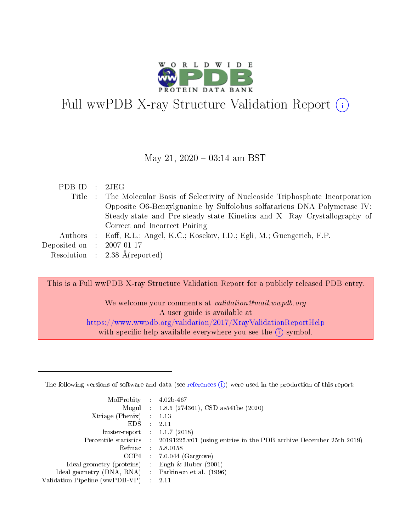

# Full wwPDB X-ray Structure Validation Report (i)

#### May 21,  $2020 - 03:14$  am BST

| PDB ID : 2JEG               |                                                                                     |
|-----------------------------|-------------------------------------------------------------------------------------|
|                             | Title : The Molecular Basis of Selectivity of Nucleoside Triphosphate Incorporation |
|                             | Opposite O6-Benzylguanine by Sulfolobus solfataricus DNA Polymerase IV:             |
|                             | Steady-state and Pre-steady-state Kinetics and X- Ray Crystallography of            |
|                             | Correct and Incorrect Pairing                                                       |
|                             | Authors : Eoff, R.L.; Angel, K.C.; Kosekov, I.D.; Egli, M.; Guengerich, F.P.        |
| Deposited on : $2007-01-17$ |                                                                                     |
|                             | Resolution : $2.38 \text{ Å}$ (reported)                                            |
|                             |                                                                                     |

This is a Full wwPDB X-ray Structure Validation Report for a publicly released PDB entry.

We welcome your comments at *validation@mail.wwpdb.org* A user guide is available at <https://www.wwpdb.org/validation/2017/XrayValidationReportHelp> with specific help available everywhere you see the  $(i)$  symbol.

The following versions of software and data (see [references](https://www.wwpdb.org/validation/2017/XrayValidationReportHelp#references)  $(1)$ ) were used in the production of this report:

| MolProbity :                   |               | $4.02b - 467$                                                               |
|--------------------------------|---------------|-----------------------------------------------------------------------------|
|                                |               | Mogul : $1.8.5$ (274361), CSD as 541be (2020)                               |
| $X$ triage (Phenix) :          |               | 1.13                                                                        |
| EDS.                           |               | 2.11                                                                        |
| buster-report : $1.1.7$ (2018) |               |                                                                             |
| Percentile statistics :        |               | $20191225 \text{v}01$ (using entries in the PDB archive December 25th 2019) |
| Refmac :                       |               | 5.8.0158                                                                    |
| $CCP4$ :                       |               | $7.0.044$ (Gargrove)                                                        |
| Ideal geometry (proteins) :    |               | Engh $\&$ Huber (2001)                                                      |
| Ideal geometry (DNA, RNA) :    |               | Parkinson et al. (1996)                                                     |
| Validation Pipeline (wwPDB-VP) | $\mathcal{L}$ | 2.11                                                                        |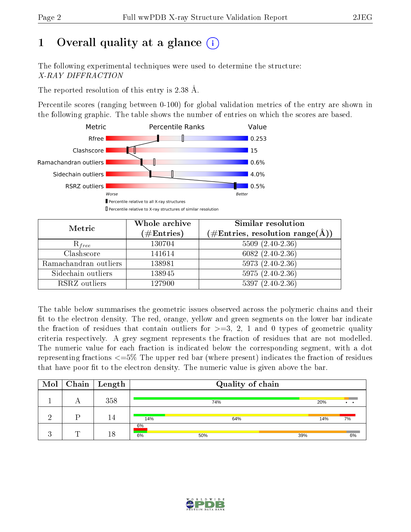# 1 [O](https://www.wwpdb.org/validation/2017/XrayValidationReportHelp#overall_quality)verall quality at a glance  $(i)$

The following experimental techniques were used to determine the structure: X-RAY DIFFRACTION

The reported resolution of this entry is 2.38 Å.

Percentile scores (ranging between 0-100) for global validation metrics of the entry are shown in the following graphic. The table shows the number of entries on which the scores are based.



| Metric                | Whole archive<br>$(\#\text{Entries})$ | Similar resolution<br>$(\#\text{Entries},\,\text{resolution}\,\,\text{range}(\textup{\AA}))$ |
|-----------------------|---------------------------------------|----------------------------------------------------------------------------------------------|
| $R_{free}$            | 130704                                | $5509(2.40-2.36)$                                                                            |
| Clashscore            | 141614                                | $6082(2.40-2.36)$                                                                            |
| Ramachandran outliers | 138981                                | $5973(2.40-2.36)$                                                                            |
| Sidechain outliers    | 138945                                | $5975(2.40-2.36)$                                                                            |
| RSRZ outliers         | 127900                                | $5397(2.40-2.36)$                                                                            |

The table below summarises the geometric issues observed across the polymeric chains and their fit to the electron density. The red, orange, yellow and green segments on the lower bar indicate the fraction of residues that contain outliers for  $>=3, 2, 1$  and 0 types of geometric quality criteria respectively. A grey segment represents the fraction of residues that are not modelled. The numeric value for each fraction is indicated below the corresponding segment, with a dot representing fractions  $\epsilon=5\%$  The upper red bar (where present) indicates the fraction of residues that have poor fit to the electron density. The numeric value is given above the bar.

| $\text{Mol}$         | $\mid$ Chain $\mid$ | Length |          | Quality of chain |     |     |                 |
|----------------------|---------------------|--------|----------|------------------|-----|-----|-----------------|
|                      | $\Gamma$            | 358    |          | 74%              |     | 20% | $\cdot$ $\cdot$ |
|                      | D                   | 14     | 14%      | 64%              |     | 14% | 7%              |
| $\ddot{\phantom{a}}$ |                     | 18     | 6%<br>6% | 50%              | 39% |     | 6%              |

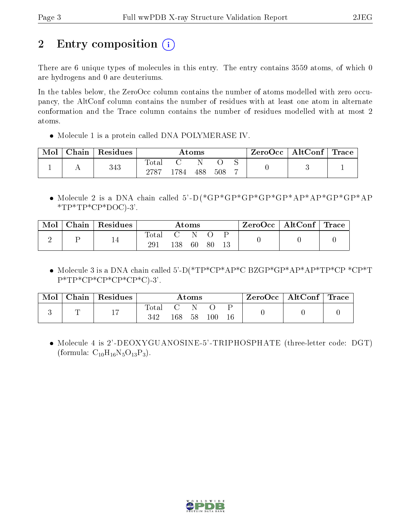# 2 Entry composition  $\binom{1}{1}$

There are 6 unique types of molecules in this entry. The entry contains 3559 atoms, of which 0 are hydrogens and 0 are deuteriums.

In the tables below, the ZeroOcc column contains the number of atoms modelled with zero occupancy, the AltConf column contains the number of residues with at least one atom in alternate conformation and the Trace column contains the number of residues modelled with at most 2 atoms.

• Molecule 1 is a protein called DNA POLYMERASE IV.

| Mol | Chain | Residues | Atoms                              |       |     | ZeroOcc | $\mid$ AltConf $\mid$ Trace |  |  |  |
|-----|-------|----------|------------------------------------|-------|-----|---------|-----------------------------|--|--|--|
|     |       | 343      | <b>Total</b><br>$\cdot$ ) 72 $\pm$ | 784 - | 488 | 508     |                             |  |  |  |

 Molecule 2 is a DNA chain called 5'-D(\*GP\*GP\*GP\*GP\*GP\*AP\*AP\*GP\*GP\*AP  $*TP*TP*CP*DOC$ )-3'.

| Mol | ${\rm Chain} \mid$ | $\perp$ Residues | $\rm{Atoms}$ |     | $\rm ZeroOcc$   Alt $\rm Conf$   Trace |  |  |  |
|-----|--------------------|------------------|--------------|-----|----------------------------------------|--|--|--|
|     |                    |                  | Total        |     |                                        |  |  |  |
|     |                    |                  |              | 138 | 60                                     |  |  |  |

 $\bullet$  Molecule 3 is a DNA chain called 5'-D(\*TP\*CP\*AP\*C BZGP\*GP\*AP\*AP\*TP\*CP \*CP\*T P\*TP\*CP\*CP\*CP\*CP\*C)-3'.

| Mol | Chain | $\perp$ Residues | $\rm{Atoms}$          |     |    | $\text{ZeroOcc} \mid \text{AltConf} \mid \text{Trace}$ |  |  |  |
|-----|-------|------------------|-----------------------|-----|----|--------------------------------------------------------|--|--|--|
|     |       | 17               | $\text{Total}$<br>342 | 168 | 58 | $\llcorner 00$                                         |  |  |  |

 Molecule 4 is 2'-DEOXYGUANOSINE-5'-TRIPHOSPHATE (three-letter code: DGT) (formula:  $C_{10}H_{16}N_5O_{13}P_3$ ).

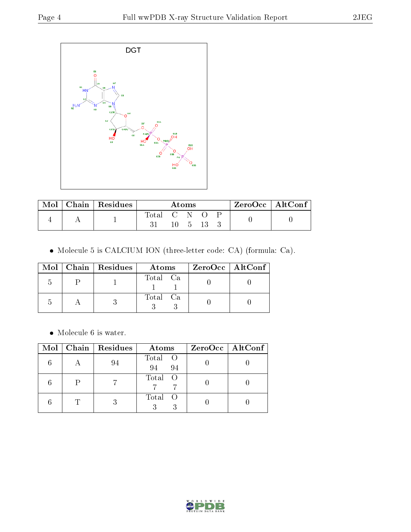

| Mol | Chain   Residues |             | Atoms |  | $ZeroOcc \   \ AltConf \$ |  |
|-----|------------------|-------------|-------|--|---------------------------|--|
|     |                  | Total C N O |       |  |                           |  |
|     |                  |             | $-5$  |  |                           |  |

Molecule 5 is CALCIUM ION (three-letter code: CA) (formula: Ca).

|  | $Mol$   Chain   Residues | Atoms    | $ZeroOcc \mid AltConf \mid$ |
|--|--------------------------|----------|-----------------------------|
|  |                          | Total Ca |                             |
|  |                          | Total Ca |                             |

 $\bullet\,$  Molecule 6 is water.

| Mol | $\vert$ Chain $\vert$ Residues | Atoms                                                         | ZeroOcc   AltConf |
|-----|--------------------------------|---------------------------------------------------------------|-------------------|
|     | 94                             | Total O<br>94<br>94                                           |                   |
|     |                                | Total<br>$\circ$ O                                            |                   |
|     |                                | Total<br>$\left( \begin{array}{c} 0 \\ 0 \end{array} \right)$ |                   |

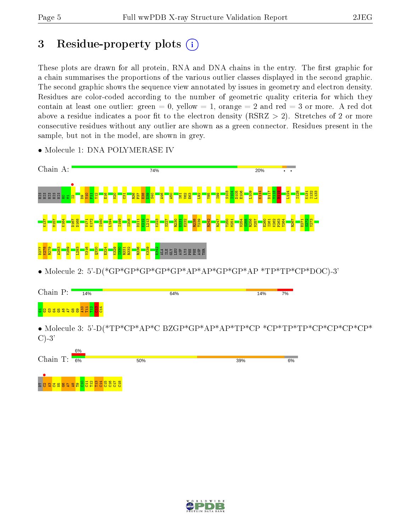# 3 Residue-property plots  $(i)$

These plots are drawn for all protein, RNA and DNA chains in the entry. The first graphic for a chain summarises the proportions of the various outlier classes displayed in the second graphic. The second graphic shows the sequence view annotated by issues in geometry and electron density. Residues are color-coded according to the number of geometric quality criteria for which they contain at least one outlier: green  $= 0$ , yellow  $= 1$ , orange  $= 2$  and red  $= 3$  or more. A red dot above a residue indicates a poor fit to the electron density (RSRZ  $> 2$ ). Stretches of 2 or more consecutive residues without any outlier are shown as a green connector. Residues present in the sample, but not in the model, are shown in grey.

| Chain A:                                                                | 74%                                                                                                                                                                                                             | 20% |    |
|-------------------------------------------------------------------------|-----------------------------------------------------------------------------------------------------------------------------------------------------------------------------------------------------------------|-----|----|
| និង<br>និងដូន                                                           |                                                                                                                                                                                                                 |     |    |
|                                                                         |                                                                                                                                                                                                                 |     |    |
|                                                                         | ដូមីទំ<br><b>SHEGE</b>                                                                                                                                                                                          |     |    |
|                                                                         | $\bullet \text{ Molecule 2: } 5\text{'-}D(*\text{GP*}\text{GP*}\text{GP*}\text{GP*}\text{GP*}\text{AP*}\text{AP*}\text{AP*}\text{GP*}\text{GP*}\text{AP*}\text{TP*}\text{TP*}\text{TP*}\text{CP*}\text{DOC}-3'$ |     |    |
| Chain $\mathbf{P}\colon$<br>14%                                         | 64%                                                                                                                                                                                                             | 14% | 7% |
| <mark>ទ</mark> <mark>ឧ ឌ ឌ ឌ ឌ ឌ ឌ ឌ ឌ ដ ដ ដ </mark> ម <mark>ន ដ</mark> |                                                                                                                                                                                                                 |     |    |
| $C$ )-3'                                                                |                                                                                                                                                                                                                 |     |    |
| 6%<br>Chain T:<br>6%                                                    | 50%                                                                                                                                                                                                             | 39% | 6% |
| $\infty$                                                                |                                                                                                                                                                                                                 |     |    |
|                                                                         |                                                                                                                                                                                                                 |     |    |
|                                                                         |                                                                                                                                                                                                                 |     |    |

• Molecule 1: DNA POLYMERASE IV

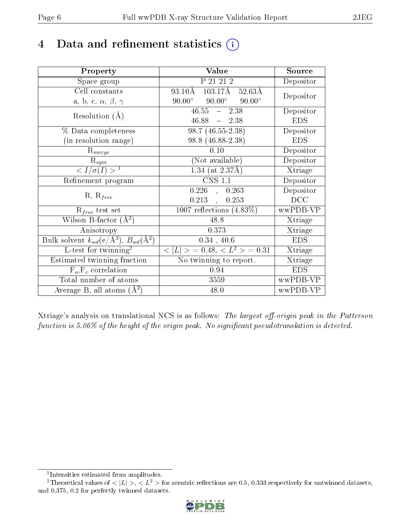## 4 Data and refinement statistics  $(i)$

| Property                                                         | Value                                              | Source     |
|------------------------------------------------------------------|----------------------------------------------------|------------|
| Space group                                                      | P 21 21 2                                          | Depositor  |
| Cell constants                                                   | $93.10\AA$ $103.17\AA$ $52.63\AA$                  | Depositor  |
| a, b, c, $\alpha$ , $\beta$ , $\gamma$                           | $90.00^{\circ}$ $90.00^{\circ}$<br>$90.00^{\circ}$ |            |
| Resolution $(A)$                                                 | $46.55 - 2.38$                                     | Depositor  |
|                                                                  | $46.88 - 2.38$                                     | <b>EDS</b> |
| $\%$ Data completeness                                           | $98.7(46.55-2.38)$                                 | Depositor  |
| (in resolution range)                                            | 98.8 (46.88-2.38)                                  | <b>EDS</b> |
| $R_{merge}$                                                      | 0.10                                               | Depositor  |
| $\mathrm{R}_{sym}$                                               | (Not available)                                    | Depositor  |
| $\langle I/\sigma(I) \rangle^{-1}$                               | $1.34$ (at 2.37Å)                                  | Xtriage    |
| Refinement program                                               | $\overline{\text{CNS} 1.1}$                        | Depositor  |
|                                                                  | $0.226$ ,<br>0.263                                 | Depositor  |
| $R, R_{free}$                                                    | $0.213$ ,<br>0.253                                 | DCC        |
| $R_{free}$ test set                                              | 1007 reflections $(4.83\%)$                        | wwPDB-VP   |
| Wilson B-factor $(A^2)$                                          | 48.8                                               | Xtriage    |
| Anisotropy                                                       | 0.373                                              | Xtriage    |
| Bulk solvent $k_{sol}(\text{e}/\text{A}^3), B_{sol}(\text{A}^2)$ | 0.34, 40.6                                         | <b>EDS</b> |
| L-test for $\mathrm{twinning}^2$                                 | $< L >$ = 0.48, $< L2 >$ = 0.31                    | Xtriage    |
| Estimated twinning fraction                                      | No twinning to report.                             | Xtriage    |
| $\overline{F_o}, \overline{F_c}$ correlation                     | 0.94                                               | <b>EDS</b> |
| Total number of atoms                                            | 3559                                               | wwPDB-VP   |
| Average B, all atoms $(A^2)$                                     | 48.0                                               | wwPDB-VP   |

Xtriage's analysis on translational NCS is as follows: The largest off-origin peak in the Patterson function is  $5.06\%$  of the height of the origin peak. No significant pseudotranslation is detected.

<sup>&</sup>lt;sup>2</sup>Theoretical values of  $\langle |L| \rangle$ ,  $\langle L^2 \rangle$  for acentric reflections are 0.5, 0.333 respectively for untwinned datasets, and 0.375, 0.2 for perfectly twinned datasets.



<span id="page-5-1"></span><span id="page-5-0"></span><sup>1</sup> Intensities estimated from amplitudes.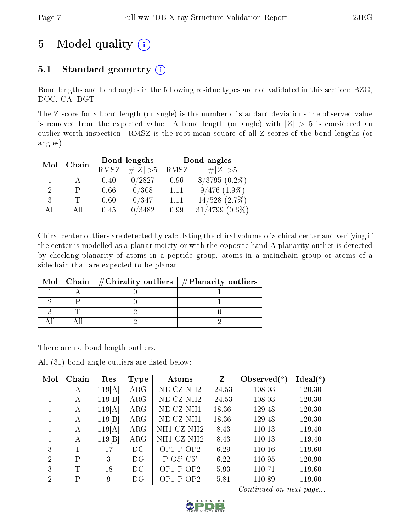# 5 Model quality  $(i)$

### 5.1 Standard geometry  $(i)$

Bond lengths and bond angles in the following residue types are not validated in this section: BZG, DOC, CA, DGT

The Z score for a bond length (or angle) is the number of standard deviations the observed value is removed from the expected value. A bond length (or angle) with  $|Z| > 5$  is considered an outlier worth inspection. RMSZ is the root-mean-square of all Z scores of the bond lengths (or angles).

| Mol | Chain | Bond lengths |               | Bond angles |                    |
|-----|-------|--------------|---------------|-------------|--------------------|
|     |       | RMSZ         | $\# Z  > 5$   | RMSZ        | $\ Z\  > 5$        |
|     |       | 0.40         | 0/2827        | 0.96        | $8/3795(0.2\%)$    |
| 2   |       | 0.66         | 0/308         | 1.11        | $9/476$ $(1.9\%)$  |
| 3   |       | 0.60         | 0/347         | 1.11        | $14/528$ $(2.7\%)$ |
| ΑĦ  | ΑII   | 0.45         | $\sqrt{3482}$ | 0.99        | 31<br>4799         |

Chiral center outliers are detected by calculating the chiral volume of a chiral center and verifying if the center is modelled as a planar moiety or with the opposite hand.A planarity outlier is detected by checking planarity of atoms in a peptide group, atoms in a mainchain group or atoms of a sidechain that are expected to be planar.

|  | Mol   Chain   $\#\text{Chirality outliers}$   $\#\text{Planarity outliers}$ |  |
|--|-----------------------------------------------------------------------------|--|
|  |                                                                             |  |
|  |                                                                             |  |
|  |                                                                             |  |
|  |                                                                             |  |

There are no bond length outliers.

All (31) bond angle outliers are listed below:

| Mol            | Chain | Res    | Type       | Atoms                 | Z        | Observed $(^\circ)$ | $Ideal(^{\circ})$ |
|----------------|-------|--------|------------|-----------------------|----------|---------------------|-------------------|
|                | A     | 119 A  | $\rm{ARG}$ | NE-CZ-NH <sub>2</sub> | $-24.53$ | 108.03              | 120.30            |
|                | A     | 119 B  | $\rm{ARG}$ | NE-CZ-NH <sub>2</sub> | $-24.53$ | 108.03              | 120.30            |
|                | А     | 119[A] | $\rm{ARG}$ | NE-CZ-NH1             | 18.36    | 129.48              | 120.30            |
|                | А     | 119 B  | $\rm{ARG}$ | NE-CZ-NH1             | 18.36    | 129.48              | 120.30            |
|                | А     | 119[A] | $\rm{ARG}$ | NH1-CZ-NH2            | $-8.43$  | 110.13              | 119.40            |
|                | А     | 119 B  | $\rm{ARG}$ | NH1-CZ-NH2            | $-8.43$  | 110.13              | 119.40            |
| 3              | T     | 17     | DC         | $OP1-POP2$            | $-6.29$  | 110.16              | 119.60            |
| $\overline{2}$ | P     | 3      | DG         | $P-O5'-C5'$           | $-6.22$  | 110.95              | 120.90            |
| 3              | T     | 18     | DC         | $OP1-POP2$            | $-5.93$  | 110.71              | 119.60            |
| $\overline{2}$ | P     | 9      | DG         | $OP1-POP2$            | $-5.81$  | 110.89              | 119.60            |

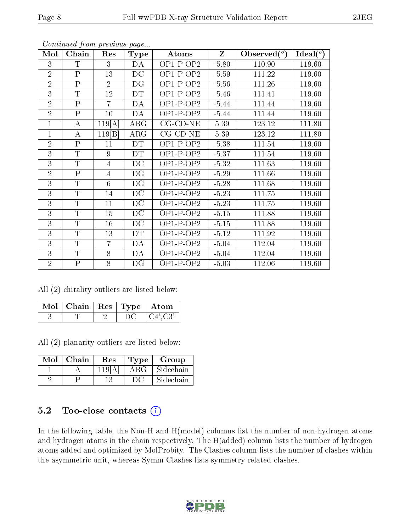| Mol            | Chain        | Res            | <b>Type</b> | Atoms              | Z       | Observed $(°)$ | Ideal $(°)$ |
|----------------|--------------|----------------|-------------|--------------------|---------|----------------|-------------|
| 3              | $\mathbf T$  | 3              | DA          | $OP1-P-OP2$        | $-5.80$ | 110.90         | 119.60      |
| $\overline{2}$ | $\mathbf{P}$ | 13             | DC          | $OP1-P-OP2$        | $-5.59$ | 111.22         | 119.60      |
| $\overline{2}$ | $\mathbf{P}$ | $\overline{2}$ | DG          | $OP1-P-OP2$        | $-5.56$ | 111.26         | 119.60      |
| 3              | $\mathbf T$  | 12             | DT          | $OP1-P-OP2$        | $-5.46$ | 111.41         | 119.60      |
| $\overline{2}$ | $\mathbf{P}$ | $\overline{7}$ | DA          | $OP1-P-OP2$        | $-5.44$ | 111.44         | 119.60      |
| $\overline{2}$ | $\mathbf{P}$ | 10             | DA          | $OP1-P-OP2$        | $-5.44$ | 111.44         | 119.60      |
| 1              | A            | 119[A]         | ARG         | $CG$ - $CD$ - $NE$ | 5.39    | 123.12         | 111.80      |
| $\mathbf{1}$   | A            | 119 B          | $\rm{ARG}$  | $CG$ - $CD$ - $NE$ | 5.39    | 123.12         | 111.80      |
| $\overline{2}$ | $\mathbf{P}$ | 11             | <b>DT</b>   | $OP1-P-OP2$        | $-5.38$ | 111.54         | 119.60      |
| 3              | $\mathbf T$  | 9              | <b>DT</b>   | $OP1-P-OP2$        | $-5.37$ | 111.54         | 119.60      |
| 3              | T            | 4              | DC          | $OP1-P-OP2$        | $-5.32$ | 111.63         | 119.60      |
| $\overline{2}$ | $\mathbf{P}$ | 4              | DG          | $OP1-P-OP2$        | $-5.29$ | 111.66         | 119.60      |
| 3              | $\mathbf T$  | 6              | DG          | $OP1-P-OP2$        | $-5.28$ | 111.68         | 119.60      |
| 3              | $\mathbf T$  | 14             | DC          | $OP1-P-OP2$        | $-5.23$ | 111.75         | 119.60      |
| 3              | $\mathbf T$  | 11             | DC          | $OP1-P-OP2$        | $-5.23$ | 111.75         | 119.60      |
| 3              | $\mathbf T$  | 15             | DC          | $OP1-P-OP2$        | $-5.15$ | 111.88         | 119.60      |
| $\overline{3}$ | $\mathbf T$  | 16             | DC          | $OP1-P-OP2$        | $-5.15$ | 111.88         | 119.60      |
| 3              | $\mathbf T$  | 13             | DT          | $OP1-P-OP2$        | $-5.12$ | 111.92         | 119.60      |
| 3              | $\mathbf T$  | $\overline{7}$ | DA          | $OP1-P-OP2$        | $-5.04$ | 112.04         | 119.60      |
| 3              | $\mathbf T$  | 8              | DA          | $OP1-P-OP2$        | $-5.04$ | 112.04         | 119.60      |
| $\overline{2}$ | $\mathbf P$  | 8              | DG          | $OP1-P-OP2$        | $-5.03$ | 112.06         | 119.60      |

Continued from previous page...

All (2) chirality outliers are listed below:

| $\mid$ Mol $\mid$ Chain $\mid$ Res $\mid$ Type $\mid$ Atom |  |                |
|------------------------------------------------------------|--|----------------|
|                                                            |  | $\pm$ C4', C3' |

All (2) planarity outliers are listed below:

| Mol | $\mid$ Chain | Res    | Type       | Group     |
|-----|--------------|--------|------------|-----------|
|     |              | 119[A] | $\rm{ARG}$ | Sidechain |
|     |              |        | ĐC         | Sidechain |

#### 5.2 Too-close contacts  $(i)$

In the following table, the Non-H and H(model) columns list the number of non-hydrogen atoms and hydrogen atoms in the chain respectively. The H(added) column lists the number of hydrogen atoms added and optimized by MolProbity. The Clashes column lists the number of clashes within the asymmetric unit, whereas Symm-Clashes lists symmetry related clashes.

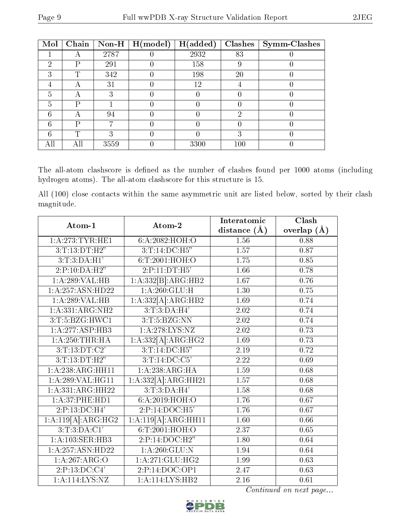| Mol | Chain | $\sqrt{\frac{1}{10}}$ Non-H | $\mid$ H(model) | H(added) | Clashes | <b>Symm-Clashes</b> |
|-----|-------|-----------------------------|-----------------|----------|---------|---------------------|
|     | −     | 2787                        |                 | 2932     | 83      |                     |
| ച   | Ρ     | 291                         |                 | 158      | 9       |                     |
| ച   | T     | 342                         |                 | 198      | 20      |                     |
|     | A     | 31                          |                 | 12       |         |                     |
| 5   | А     | 3                           |                 |          |         |                     |
| 5   |       |                             |                 |          |         |                     |
|     | A     | 94                          |                 |          | റ       |                     |
| հ   | р     |                             |                 |          |         |                     |
|     | T     |                             |                 |          | ച       |                     |
| All |       | 3559                        |                 | 3300     | 100     |                     |

The all-atom clashscore is defined as the number of clashes found per 1000 atoms (including hydrogen atoms). The all-atom clashscore for this structure is 15.

All (100) close contacts within the same asymmetric unit are listed below, sorted by their clash magnitude.

| Atom-1             | Atom-2                     | Interatomic       | Clash         |
|--------------------|----------------------------|-------------------|---------------|
|                    |                            | distance $(A)$    | overlap $(A)$ |
| 1:A:273:TYR:HE1    | 6:A:2082:HOH:O             | 1.56              | 0.88          |
| 3: T: 13: DT:H2"   | 3: T: 14:DC: H5"           | 1.57              | 0.87          |
| 3: T: 3:DA:H1'     | 6: T:2001: HOH:O           | 1.75              | 0.85          |
| 2:P:10:DA:H2"      | 2:P:11:DT:H5'              | 1.66              | 0.78          |
| 1:A:289:VAL:HB     | 1:A:332[B]:ARG:HB2         | 1.67              | 0.76          |
| 1:A:257:ASN:HD22   | 1: A:260: GLU: H           | 1.30              | 0.75          |
| 1:A:289:VAL:HB     | 1:A:332[A]:ARG:HB2         | 1.69              | 0.74          |
| 1:A:331:ARG:NH2    | 3:T:3:DA:H4'               | 2.02              | 0.74          |
| 3:T:5:BZG:HWC1     | 3:T:5:BZG:NN               | 2.02              | 0.74          |
| 1:A:277:ASP:HB3    | 1: A:278:LYS:NZ            | 2.02              | 0.73          |
| 1: A:250:THR:HA    | 1:A:332[A]:ARG:HG2         | 1.69              | 0.73          |
| 3:T:13:DT:C2'      | $3:T:14:\overline{DC:H5"}$ | 2.19              | 0.72          |
| 3: T: 13: DT:H2"   | 3:T:14:DC:C5'              | $\overline{2.22}$ | 0.69          |
| 1: A:238:ARG:HH11  | 1:A:238:ARG:HA             | 1.59              | 0.68          |
| 1:A:289:VAL:HG11   | 1:A:332[A]:ARG:HH21        | 1.57              | 0.68          |
| 1:A:331:ARG:HH22   | 3:T:3:DA:H4'               | 1.58              | 0.68          |
| 1:A:37:PHE:HD1     | 6:A:2019:HOH:O             | 1.76              | 0.67          |
| 2:P:13:D C:H4'     | 2:P:14:DOC:H5'             | 1.76              | 0.67          |
| 1:A:119[A]:ARG:HG2 | 1:A:119[A]:ARG:HH11        | 1.60              | 0.66          |
| 3:T:3:DA:CI'       | 6:T:2001:HOH:O             | 2.37              | 0.65          |
| 1:A:103:SER:HB3    | 2:P:14:DOC:H2"             | 1.80              | 0.64          |
| 1:A:257:ASN:HD22   | 1: A:260: GLU:N            | 1.94              | 0.64          |
| 1:A:267:ARG:O      | 1: A:271: GLU:HG2          | 1.99              | 0.63          |
| 2:P:13:DC:C4'      | 2:P:14:DOC:OP1             | 2.47              | 0.63          |
| 1: A: 114: LYS: NZ | 1:A:114:LYS:HB2            | 2.16              | 0.61          |

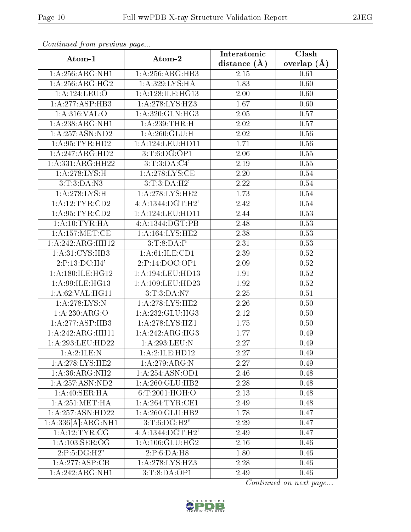| Ψ |  |
|---|--|
|   |  |
|   |  |
|   |  |

| ondendoù jiome prodeoùo pagom<br>Atom-1 | Atom-2                              | Interatomic      | Clash             |
|-----------------------------------------|-------------------------------------|------------------|-------------------|
|                                         |                                     | distance $(\AA)$ | overlap $(\AA)$   |
| $1: A:256: \overline{ARG:NH1}$          | 1:A:256:ARG:HB3                     | 2.15             | 0.61              |
| 1: A:256:ARG:HG2                        | 1:A:329:LYS:HA                      | 1.83             | 0.60              |
| 1:A:124:LEU:O                           | 1:A:128:ILE:HG13                    | 2.00             | 0.60              |
| 1:A:277:ASP:HB3                         | 1:A:278:LYS:HZ3                     | 1.67             | 0.60              |
| 1:A:316:VAL:O                           | 1: A:320: GLN: HG3                  | 2.05             | 0.57              |
| 1:A:238:ARG:NH1                         | 1: A:239:THR:H                      | 2.02             | 0.57              |
| $1:$ A:257:ASN:ND2                      | 1: A:260: GLU: H                    | 2.02             | 0.56              |
| 1: A:95:TYR:HD2                         | 1:A:124:LEU:HD11                    | 1.71             | 0.56              |
| 1:A:247:ARG:HD2                         | $3:\overline{T:6:D}G:OP1$           | 2.06             | 0.55              |
| 1: A: 331: ARG: HH22                    | 3:T:3:DA:C4'                        | 2.19             | 0.55              |
| 1:A:278:LYS:H                           | 1: A:278:LYS:CE                     | $2.20\,$         | 0.54              |
| 3: T:3:DA:N3                            | 3: T:3:DA:H2'                       | 2.22             | 0.54              |
| 1:A:278:LYS:H                           | 1: A:278:LYS:HE2                    | 1.73             | 0.54              |
| 1: A:12:TYR:CD2                         | 4:A:1344:DGT:H2'                    | 2.42             | $\overline{0.54}$ |
| 1: A:95:TYR:CD2                         | 1: A: 124: LEU: HD11                | 2.44             | 0.53              |
| 1:A:10:TYR:HA                           | 4:A:1344:DGT:PB                     | 2.48             | 0.53              |
| 1:A:157:MET:CE                          | 1:A:164:LYS:HE2                     | 2.38             | 0.53              |
| 1:A:242:ARG:HH12                        | 3:T:8:DA:P                          | 2.31             | 0.53              |
| 1:A:31:CYS:HB3                          | $1: A:61: \overline{\text{LE:CD1}}$ | 2.39             | 0.52              |
| 2:P:13:DC:H4'                           | 2:P:14:DOC:OP1                      | 2.09             | 0.52              |
| 1:A:180:ILE:HG12                        | 1:A:194:LEU:HD13                    | 1.91             | 0.52              |
| 1:A:99:ILE:HG13                         | 1:A:109:LEU:HD23                    | 1.92             | 0.52              |
| 1: A:62:VAL:HG11                        | 3:T:3:DA:N7                         | 2.25             | 0.51              |
| 1:A:278:LYS:N                           | 1:A:278:LYS:HE2                     | 2.26             | 0.50              |
| 1:A:230:ARG:O                           | 1: A: 232: GLU: HG3                 | 2.12             | 0.50              |
| 1:A:277:ASP:HB3                         | 1:A:278:LYS:HZ1                     | 1.75             | 0.50              |
| 1:A:242:ARG:HH11                        | 1:A:242:ARG:HG3                     | 1.77             | 0.49              |
| 1:A:293:LEU:HD22                        | 1:A:293:LEU:N                       | 2.27             | 0.49              |
| 1:A:2:ILE:N                             | 1:A:2:ILE:HDI2                      | 2.27             | 0.49              |
| 1: A:278: LYS: HE2                      | 1:A:279:ARG:N                       | 2.27             | 0.49              |
| 1: A:36:ARG:NH2                         | 1: A:254: ASN:OD1                   | 2.46             | 0.48              |
| 1:A:257:ASN:ND2                         | 1:A:260:GLU:HB2                     | 2.28             | 0.48              |
| 1:A:40:SER:HA                           | 6:T:2001:HOH:O                      | 2.13             | 0.48              |
| 1: A:251: MET:HA                        | 1: A:264:TYR:CE1                    | 2.49             | 0.48              |
| 1:A:257:ASN:HD22                        | 1:A:260:GLU:HB2                     | 1.78             | 0.47              |
| 1:A:336[A]:ARG:NH1                      | 3: T: 6: DG:H2"                     | 2.29             | 0.47              |
| 1: A: 12: TYR: CG                       | $4:A:1344:\overline{DGT:H2'}$       | 2.49             | 0.47              |
| 1: A: 103: SER: OG                      | 1: A: 106: GLU: HG2                 | 2.16             | 0.46              |
| 2:P:5:DG:H2"                            | 2:P:6:DA:H8                         | 1.80             | 0.46              |
| 1:A:277:ASP:CB                          | 1: A:278:LYS:HZ3                    | 2.28             | 0.46              |
| 1:A:242:ARG:NH1                         | 3:T:8:DA:OP1                        | 2.49             | 0.46              |

Continued from previous page...

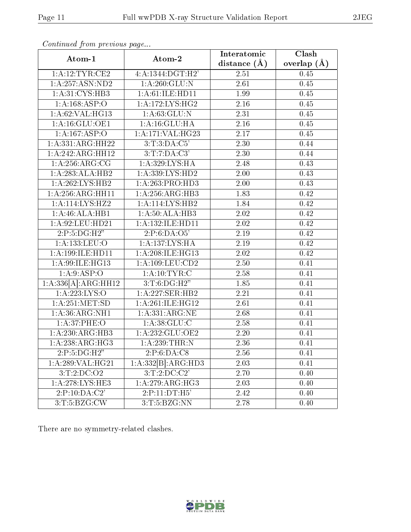|                                     | Atom-2                          | Interatomic       | Clash           |
|-------------------------------------|---------------------------------|-------------------|-----------------|
| Atom-1                              |                                 | distance $(A)$    | overlap $(\AA)$ |
| 1:A:12:TYR:CE2                      | 4:A:1344:DGT:H2'                | 2.51              | 0.45            |
| 1:A:257:ASN:ND2                     | 1: A:260: GLU:N                 | 2.61              | 0.45            |
| 1:A:31:CYS:HB3                      | 1:A:61:ILE:HD11                 | 1.99              | 0.45            |
| 1:A:168:ASP:O                       | 1:A:172:LYS:HG2                 | 2.16              | 0.45            |
| 1: A:62: VAL:HG13                   | 1: A:63: GLU:N                  | 2.31              | 0.45            |
| 1:A:16:GLU:OE1                      | 1:A:16:GLU:HA                   | 2.16              | 0.45            |
| 1:A:167:ASP:O                       | 1:A:171:VAL:HG23                | 2.17              | 0.45            |
| 1:A:331:ARG:HH22                    | 3:T:3:DA:C5'                    | $2.\overline{30}$ | 0.44            |
| 1:A:242:ARG:HH12                    | 3:T:7:DA:C3'                    | 2.30              | 0.44            |
| 1: A:256: ARG:CG                    | 1: A:329: LYS: HA               | 2.48              | 0.43            |
| 1:A:283:ALA:HB2                     | 1:A:339:LYS:HD2                 | 2.00              | 0.43            |
| 1:A:262:LYS:HB2                     | 1: A:263:PRO:HD3                | 2.00              | 0.43            |
| 1:A:256:ARG:HH11                    | 1:A:256:ARG:HB3                 | 1.83              | 0.42            |
| 1:A:114:LYS:HZ2                     | 1:A:114:LYS:HB2                 | 1.84              | 0.42            |
| 1: A:46:ALA:HB1                     | 1: A:50:ALA:HB3                 | 2.02              | 0.42            |
| $1:$ A:92:LEU:HD21                  | 1:A:132:ILE:HD11                | 2.02              | 0.42            |
| 2:P:5:DG:H2"                        | 2:P:6:DA:O5'                    | 2.19              | 0.42            |
| 1:A:133:LEU:O                       | 1:A:137:LYS:HA                  | 2.19              | 0.42            |
| 1:A:199:ILE:HD11                    | 1:A:208:ILE:HG13                | 2.02              | 0.42            |
| 1:A:99:ILE:HG13                     | 1: A: 109: LEU: CD2             | 2.50              | 0.41            |
| 1:A:9:ASP:O                         | 1: A:10:TYR:C                   | 2.58              | 0.41            |
| 1:A:336[A]:ARG:HH12                 | 3: T: 6: DG:H2"                 | 1.85              | 0.41            |
| 1: A:223: LYS:O                     | 1:A:227:SER:HB2                 | 2.21              | 0.41            |
| 1: A:251: MET:SD                    | 1: A:261: ILE: HG12             | 2.61              | 0.41            |
| 1:A:36:ARG:NH1                      | 1: A: 331: ARG: NE              | 2.68              | 0.41            |
| 1: A:37:PHE:O                       | 1: A:38: GLU:C                  | 2.58              | 0.41            |
| 1:A:230:ARG:HB3                     | 1:A:232:GLU:OE2                 | 2.20              | 0.41            |
| 1:A:238:ARG:HG3                     | 1: A:239:THR:N                  | 2.36              | 0.41            |
| 2:P:5:DG:H2"                        | 2:P:6:DA:C8                     | 2.56              | 0.41            |
| 1:A:289:VAL:HG21                    | $1:A:332[B]:\overline{ARG:HD3}$ | 2.03              | 0.41            |
| 3:T:2:DC:O2                         | 3:T:2:DC:C2'                    | 2.70              | 0.40            |
| 1:A:278:LYS:HE3                     | 1:A:279:ARG:HG3                 | 2.03              | 0.40            |
| 2:P:10:DA:C2'                       | 2:P:11:DT:H5'                   | 2.42              | 0.40            |
| $3: T: 5: \overline{\text{BZG:CW}}$ | 3:T:5:BZG:NN                    | 2.78              | 0.40            |

Continued from previous page...

There are no symmetry-related clashes.

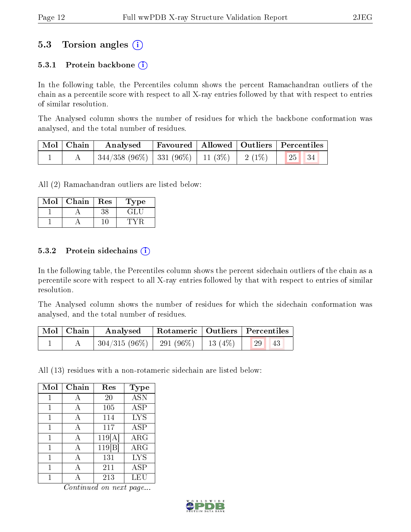### 5.3 Torsion angles (i)

#### 5.3.1 Protein backbone  $(i)$

In the following table, the Percentiles column shows the percent Ramachandran outliers of the chain as a percentile score with respect to all X-ray entries followed by that with respect to entries of similar resolution.

The Analysed column shows the number of residues for which the backbone conformation was analysed, and the total number of residues.

| Mol   Chain | Analysed                                           |  | Favoured   Allowed   Outliers   Percentiles |  |
|-------------|----------------------------------------------------|--|---------------------------------------------|--|
|             | $344/358$ (96\%)   331 (96\%)   11 (3\%)   2 (1\%) |  | $\vert 25 \vert \vert 34$                   |  |

All (2) Ramachandran outliers are listed below:

| Mol | Chain | Res | 1 ype  |
|-----|-------|-----|--------|
|     |       | メど  | E FILI |
|     |       |     |        |

#### 5.3.2 Protein sidechains  $(i)$

In the following table, the Percentiles column shows the percent sidechain outliers of the chain as a percentile score with respect to all X-ray entries followed by that with respect to entries of similar resolution.

The Analysed column shows the number of residues for which the sidechain conformation was analysed, and the total number of residues.

| $\mid$ Mol $\mid$ Chain $\mid$ | Analysed                                                    |  | $^\shortparallel$ Rotameric   Outliers   Percentiles |  |
|--------------------------------|-------------------------------------------------------------|--|------------------------------------------------------|--|
|                                | $\mid$ 304/315 (96%) $\mid$ 291 (96%) $\mid$ 13 (4%) $\mid$ |  | 29<br>43                                             |  |

All (13) residues with a non-rotameric sidechain are listed below:

| Mol | Chain | Res    | <b>Type</b> |
|-----|-------|--------|-------------|
|     |       | 20     | <b>ASN</b>  |
| 1   | А     | 105    | <b>ASP</b>  |
| 1   | А     | 114    | <b>LYS</b>  |
| 1   | А     | 117    | <b>ASP</b>  |
| 1   | А     | 119[A] | $\rm{ARG}$  |
| 1   | А     | 119 B  | $\rm{ARG}$  |
| 1   | А     | 131    | <b>LYS</b>  |
|     |       | 211    | ASP         |
|     |       | 213    | LEU         |

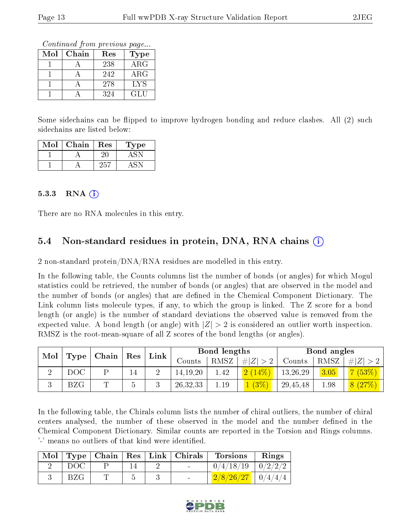Continued from previous page...

| $\operatorname{Mol}$ | Chain | Res | Type       |
|----------------------|-------|-----|------------|
|                      |       | 238 | $\rm{ARG}$ |
|                      |       | 242 | $\rm{ARG}$ |
|                      |       | 278 | LYS        |
|                      |       | 324 | GL U       |

Some sidechains can be flipped to improve hydrogen bonding and reduce clashes. All (2) such sidechains are listed below:

| $\operatorname{Mol}$ | Chain | Res | Type |
|----------------------|-------|-----|------|
|                      |       |     |      |
|                      |       | フらー |      |

#### $5.3.3$  RNA  $(i)$

There are no RNA molecules in this entry.

#### 5.4 Non-standard residues in protein, DNA, RNA chains (i)

2 non-standard protein/DNA/RNA residues are modelled in this entry.

In the following table, the Counts columns list the number of bonds (or angles) for which Mogul statistics could be retrieved, the number of bonds (or angles) that are observed in the model and the number of bonds (or angles) that are dened in the Chemical Component Dictionary. The Link column lists molecule types, if any, to which the group is linked. The Z score for a bond length (or angle) is the number of standard deviations the observed value is removed from the expected value. A bond length (or angle) with  $|Z| > 2$  is considered an outlier worth inspection. RMSZ is the root-mean-square of all Z scores of the bond lengths (or angles).

| Mol |              | $\vert$ Chain $\vert$ Res |        | $\ln k$ |            | Bond lengths |                         |          | Bond angles |        |
|-----|--------------|---------------------------|--------|---------|------------|--------------|-------------------------|----------|-------------|--------|
|     | Type         |                           |        |         | Counts     | RMSZ         | # $ Z  > 2$             | Counts   | RMSZ        | # Z    |
|     | DOC          |                           | 14     |         | 14, 19, 20 | 1.42         | 2(14%)                  | 13,26,29 | 3.05        | 7(53%) |
|     | $_{\rm BZG}$ | ᡣ                         | $\sim$ |         | 26, 32, 33 | 1.19         | $\lfloor (3\%) \rfloor$ | 29,45,48 | 1.98        | 8(27%) |

In the following table, the Chirals column lists the number of chiral outliers, the number of chiral centers analysed, the number of these observed in the model and the number defined in the Chemical Component Dictionary. Similar counts are reported in the Torsion and Rings columns. '-' means no outliers of that kind were identified.

|      |  | Mol   Type   Chain   Res   Link   Chirals | Torsions Rings                                                                          |  |
|------|--|-------------------------------------------|-----------------------------------------------------------------------------------------|--|
| DOC- |  | $\sim$                                    | $0/4/18/19$   $0/2/2/2$                                                                 |  |
| BZG  |  |                                           | $\left\lceil \frac{2/8/26/27}{2}\right\rceil\ \left\lfloor \frac{0}{4/4/4}\right\rceil$ |  |

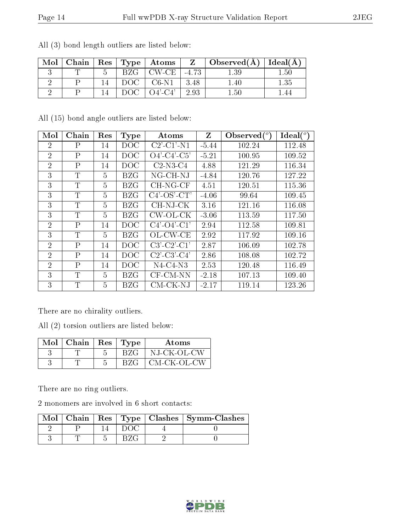| Mol | Chain |             | $\vert$ Res $\vert$ Type $\vert$ Atoms $\vert$ |       | $Z \mid$ Observed( $A$ )   Ideal( $A$ ) |              |
|-----|-------|-------------|------------------------------------------------|-------|-----------------------------------------|--------------|
|     |       |             | CW.CE                                          | -4.73 |                                         | $1.50^\circ$ |
|     |       | $-1$ OC $-$ | $C6-N1$                                        | 3.48  | ' 40-                                   | 1.35         |
|     |       |             | $\Omega$ 4'-C4'                                | 2.93  | $-50-$                                  |              |

All (3) bond length outliers are listed below:

All (15) bond angle outliers are listed below:

| Mol            | Chain          | Res | <b>Type</b> | Atoms                                                              | Z       | Observed $(°)$ | Ideal(°) |
|----------------|----------------|-----|-------------|--------------------------------------------------------------------|---------|----------------|----------|
| 2              | Ρ              | 14  | <b>DOC</b>  | $C2$ <sup><math>-</math></sup> $C1$ <sup><math>-</math></sup> $N1$ | $-5.44$ | 102.24         | 112.48   |
| $\overline{2}$ | $\mathsf{P}$   | 14  | <b>DOC</b>  | $O4'$ -C4'-C5'                                                     | $-5.21$ | 100.95         | 109.52   |
| $\overline{2}$ | $\mathbf{P}$   | 14  | DOC         | $C2-N3-C4$                                                         | 4.88    | 121.29         | 116.34   |
| 3              | $\mathbf T$    | 5   | BZG         | NG-CH-NJ                                                           | $-4.84$ | 120.76         | 127.22   |
| 3              | T              | 5   | BZG         | CH-NG-CF                                                           | 4.51    | 120.51         | 115.36   |
| 3              | T              | 5   | BZG         | $C4'$ -OS'-CT'                                                     | $-4.06$ | 99.64          | 109.45   |
| 3              | T              | 5   | <b>BZG</b>  | CH-NJ-CK                                                           | 3.16    | 121.16         | 116.08   |
| 3              | T              | 5   | <b>BZG</b>  | CW-OL-CK                                                           | $-3.06$ | 113.59         | 117.50   |
| $\overline{2}$ | $\mathbf{P}$   | 14  | DOC         | $C4'$ - $O4'$ - $C1'$                                              | 2.94    | 112.58         | 109.81   |
| 3              | T              | 5   | <b>BZG</b>  | OL-CW-CE                                                           | 2.92    | 117.92         | 109.16   |
| $\overline{2}$ | $\mathsf{P}$   | 14  | DOC         | $C3'-C2'-C1'$                                                      | 2.87    | 106.09         | 102.78   |
| $\overline{2}$ | $\mathbf{P}$   | 14  | DOC         | $C2'$ - $C3'$ - $C4'$                                              | 2.86    | 108.08         | 102.72   |
| $\overline{2}$ | $\overline{P}$ | 14  | DOC         | $N4-C4-N3$                                                         | 2.53    | 120.48         | 116.49   |
| 3              | T              | 5   | BZG         | CF-CM-NN                                                           | $-2.18$ | 107.13         | 109.40   |
| 3              | T              | 5   | BZG         | CM-CK-NJ                                                           | $-2.17$ | 119.14         | 123.26   |

There are no chirality outliers.

All (2) torsion outliers are listed below:

| $Mol$   Chain   Res   Type |     | Atoms       |
|----------------------------|-----|-------------|
|                            | BZG | NJ-CK-OL-CW |
|                            | BZG | CM-CK-OL-CW |

There are no ring outliers.

2 monomers are involved in 6 short contacts:

|  |  | $\text{Mol}$   Chain   Res   Type   Clashes   Symm-Clashes |
|--|--|------------------------------------------------------------|
|  |  |                                                            |
|  |  |                                                            |

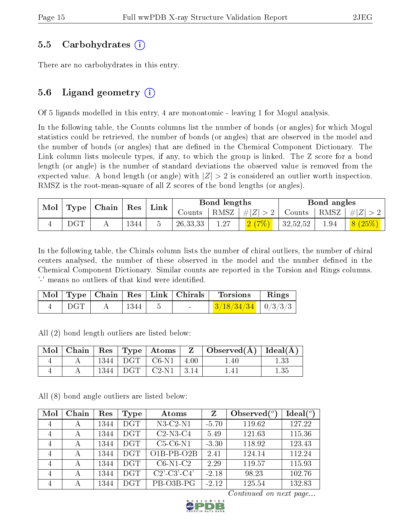#### 5.5 Carbohydrates (i)

There are no carbohydrates in this entry.

### 5.6 Ligand geometry  $(i)$

Of 5 ligands modelled in this entry, 4 are monoatomic - leaving 1 for Mogul analysis.

In the following table, the Counts columns list the number of bonds (or angles) for which Mogul statistics could be retrieved, the number of bonds (or angles) that are observed in the model and the number of bonds (or angles) that are defined in the Chemical Component Dictionary. The Link column lists molecule types, if any, to which the group is linked. The Z score for a bond length (or angle) is the number of standard deviations the observed value is removed from the expected value. A bond length (or angle) with  $|Z| > 2$  is considered an outlier worth inspection. RMSZ is the root-mean-square of all Z scores of the bond lengths (or angles).

| Mol |     |  | $\mid$ Type $\mid$ Chain $\mid$ Res $\mid$ Link $\mid$ |            | Bond lengths |                                        | Bond angles |      |                             |
|-----|-----|--|--------------------------------------------------------|------------|--------------|----------------------------------------|-------------|------|-----------------------------|
|     |     |  |                                                        |            |              | Counts   RMSZ $\vert \#  Z  > 2 \vert$ |             |      | Counts   RMSZ   $\# Z  > 2$ |
|     | DGT |  | 1344                                                   | 26, 33, 33 | 1.27         |                                        | 32,52,52    | 1.94 | 8(25%)                      |

In the following table, the Chirals column lists the number of chiral outliers, the number of chiral centers analysed, the number of these observed in the model and the number defined in the Chemical Component Dictionary. Similar counts are reported in the Torsion and Rings columns. '-' means no outliers of that kind were identified.

|     |            |                          | $\begin{array}{ c c c c c c }\n\hline \text{Mol} & \text{Type} & \text{Chain} & \text{Res} & \text{Link} & \text{Chirals} & \text{Torsions} \\\hline \end{array}$ | $\parallel$ Rings |
|-----|------------|--------------------------|-------------------------------------------------------------------------------------------------------------------------------------------------------------------|-------------------|
| DGT | $\pm$ 1344 | <b>Contract Contract</b> | $\frac{3}{18/34/34}$ $\frac{1}{2}$ 0/3/3/3                                                                                                                        |                   |

All (2) bond length outliers are listed below:

|  |      |                                     | $\vert$ Mol $\vert$ Chain $\vert$ Res $\vert$ Type $\vert$ Atoms $\vert$ Z $\vert$ Observed(A) $\vert$ Ideal(A) |      |
|--|------|-------------------------------------|-----------------------------------------------------------------------------------------------------------------|------|
|  |      | $1344$ DGT $\mid$ C6-N1 $\mid$ 4.00 | 1.40                                                                                                            | 1.33 |
|  | 1344 | DGT   C2-N1   3.14                  | 1.41                                                                                                            | 1.35 |

All (8) bond angle outliers are listed below:

| Mol | Chain | Res  | Type       | Atoms                 | Ζ       | Observed $(°)$ | $Ideal(^o)$ |
|-----|-------|------|------------|-----------------------|---------|----------------|-------------|
| 4   | А     | 1344 | <b>DGT</b> | $N3-C2-N1$            | $-5.70$ | 119.62         | 127.22      |
| 4   | А     | 1344 | DGT        | $C2-N3-C4$            | 5.49    | 121.63         | 115.36      |
| 4   | А     | 1344 | DGT        | $C5-C6-N1$            | $-3.30$ | 118.92         | 123.43      |
| 4   | А     | 1344 | <b>DGT</b> | $O1B-PB-O2B$          | 2.41    | 124.14         | 112.24      |
| 4   | А     | 1344 | DGT.       | $C6-N1-C2$            | 2.29    | 119.57         | 115.93      |
| 4   | А     | 1344 | <b>DGT</b> | $C2'$ - $C3'$ - $C4'$ | $-2.18$ | 98.23          | 102.76      |
| 4   | А     | 1344 | <b>DGT</b> | PB-O3B-PG             | $-2.12$ | 125.54         | 132.83      |

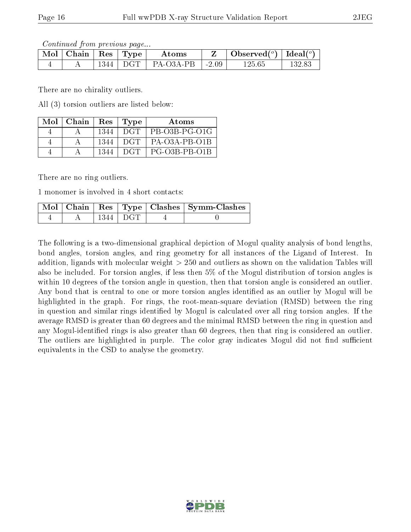Continued from previous page...

| $Mol$   Chain |      | $\mid$ Res $\mid$ Type | Atoms     |         | Observed $(°)$ | Ideal $(^o)$ |
|---------------|------|------------------------|-----------|---------|----------------|--------------|
|               | 1344 | <b>DGT</b>             | PA-O3A-PB | $-2.09$ | 125.65         | $132.83\,$   |

There are no chirality outliers.

All (3) torsion outliers are listed below:

| $Mol$   Chain   Res   Type |      | Atoms                 |
|----------------------------|------|-----------------------|
|                            | 1344 | DGT PB-03B-PG-01G     |
|                            | 1344 | $DGT$   PA-O3A-PB-O1B |
|                            | 1344 | $DGT   PG-O3B-PB-O1B$ |

There are no ring outliers.

1 monomer is involved in 4 short contacts:

|  |              | Mol   Chain   Res   Type   Clashes   Symm-Clashes |
|--|--------------|---------------------------------------------------|
|  | - 1344 E DGT |                                                   |

The following is a two-dimensional graphical depiction of Mogul quality analysis of bond lengths, bond angles, torsion angles, and ring geometry for all instances of the Ligand of Interest. In addition, ligands with molecular weight > 250 and outliers as shown on the validation Tables will also be included. For torsion angles, if less then 5% of the Mogul distribution of torsion angles is within 10 degrees of the torsion angle in question, then that torsion angle is considered an outlier. Any bond that is central to one or more torsion angles identified as an outlier by Mogul will be highlighted in the graph. For rings, the root-mean-square deviation (RMSD) between the ring in question and similar rings identified by Mogul is calculated over all ring torsion angles. If the average RMSD is greater than 60 degrees and the minimal RMSD between the ring in question and any Mogul-identified rings is also greater than 60 degrees, then that ring is considered an outlier. The outliers are highlighted in purple. The color gray indicates Mogul did not find sufficient equivalents in the CSD to analyse the geometry.

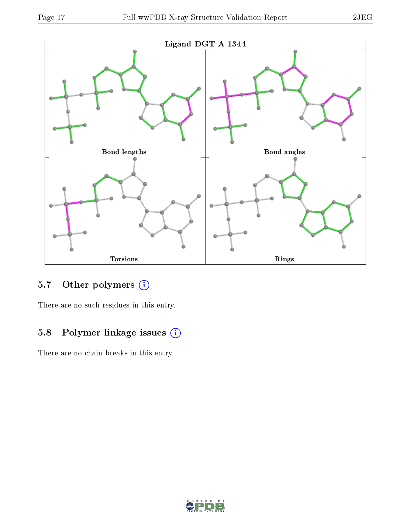



### 5.7 [O](https://www.wwpdb.org/validation/2017/XrayValidationReportHelp#nonstandard_residues_and_ligands)ther polymers (i)

There are no such residues in this entry.

### 5.8 Polymer linkage issues (i)

There are no chain breaks in this entry.

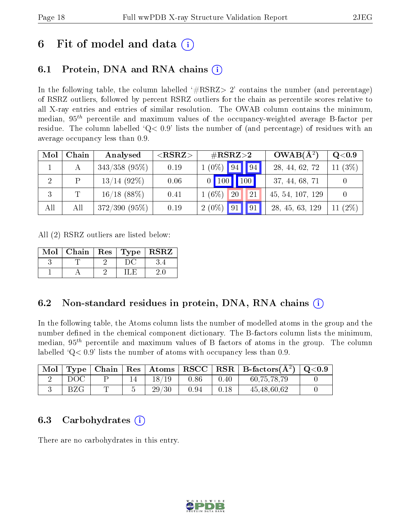## 6 Fit of model and data  $\left( \cdot \right)$

## 6.1 Protein, DNA and RNA chains (i)

In the following table, the column labelled  $#RSRZ>2'$  contains the number (and percentage) of RSRZ outliers, followed by percent RSRZ outliers for the chain as percentile scores relative to all X-ray entries and entries of similar resolution. The OWAB column contains the minimum, median,  $95<sup>th</sup>$  percentile and maximum values of the occupancy-weighted average B-factor per residue. The column labelled  $Q< 0.9$  lists the number of (and percentage) of residues with an average occupancy less than 0.9.

| Mol | Chain | Analysed        | ${ <\hspace{-1.5pt}{\mathrm{RSRZ}} \hspace{-1.5pt}>}$ | $\#\text{RSRZ}\text{>2}$ | $OWAB(A^2)$      | $\rm Q\textcolor{black}{<}0.9$ |
|-----|-------|-----------------|-------------------------------------------------------|--------------------------|------------------|--------------------------------|
|     |       | $343/358$ (95%) | 0.19                                                  | $1(0\%)$ 94 94           | 28, 44, 62, 72   | (3%)<br>11                     |
|     |       | $13/14$ (92\%)  | 0.06                                                  | 100<br>$0$ 100           | 37, 44, 68, 71   |                                |
| 3   |       | $16/18$ (88%)   | 0.41                                                  | $1(6\%)$<br>20<br>21     | 45, 54, 107, 129 |                                |
| All | All   | $372/390(95\%)$ | 0.19                                                  | $2(0\%)$ 91 91           | 28, 45, 63, 129  | $(2\%)$<br>11                  |

All (2) RSRZ outliers are listed below:

| Mol   Chain   Res   Type   RSRZ |  |  |
|---------------------------------|--|--|
|                                 |  |  |
|                                 |  |  |

#### 6.2 Non-standard residues in protein, DNA, RNA chains  $(i)$

In the following table, the Atoms column lists the number of modelled atoms in the group and the number defined in the chemical component dictionary. The B-factors column lists the minimum, median,  $95<sup>th</sup>$  percentile and maximum values of B factors of atoms in the group. The column labelled  $Q < 0.9$ ' lists the number of atoms with occupancy less than 0.9.

| $\vert$ Mol $\vert$ |     |  |       |      |      | $\mid$ Type $\mid$ Chain $\mid$ Res $\mid$ Atoms $\mid$ RSCC $\mid$ RSR $\mid$ B-factors(A <sup>2</sup> ) $\mid$ Q<0.9 |  |
|---------------------|-----|--|-------|------|------|------------------------------------------------------------------------------------------------------------------------|--|
|                     | DOC |  | 18/19 | 0.86 | 0.40 | 60,75,78,79                                                                                                            |  |
|                     |     |  | 29/30 | 0.94 | 0.18 | 45,48,60,62                                                                                                            |  |

#### 6.3 Carbohydrates (i)

There are no carbohydrates in this entry.